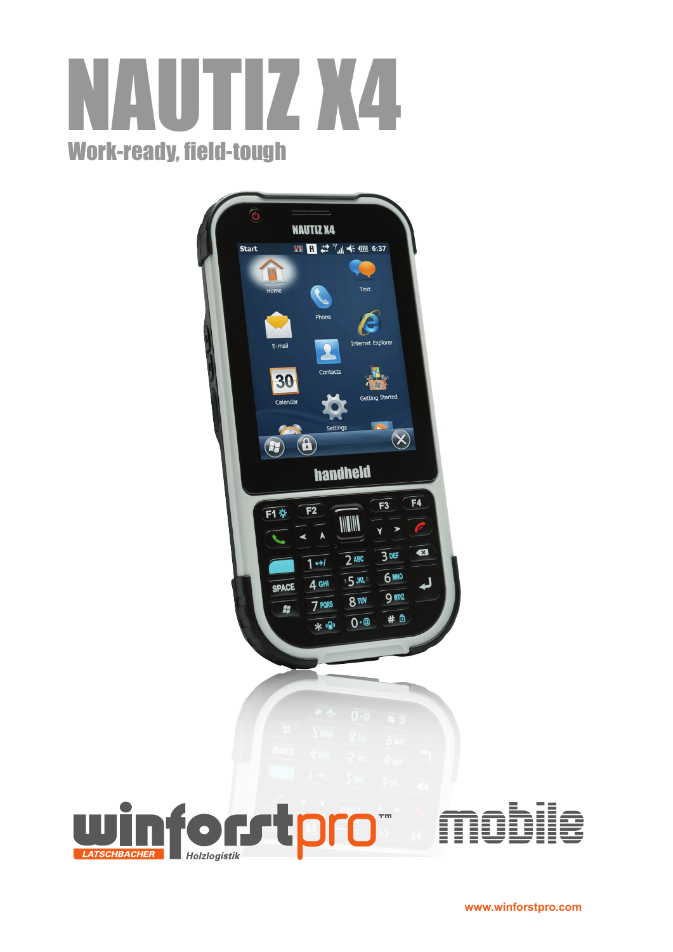# NAUTIZ X4 Work-ready, field-tough